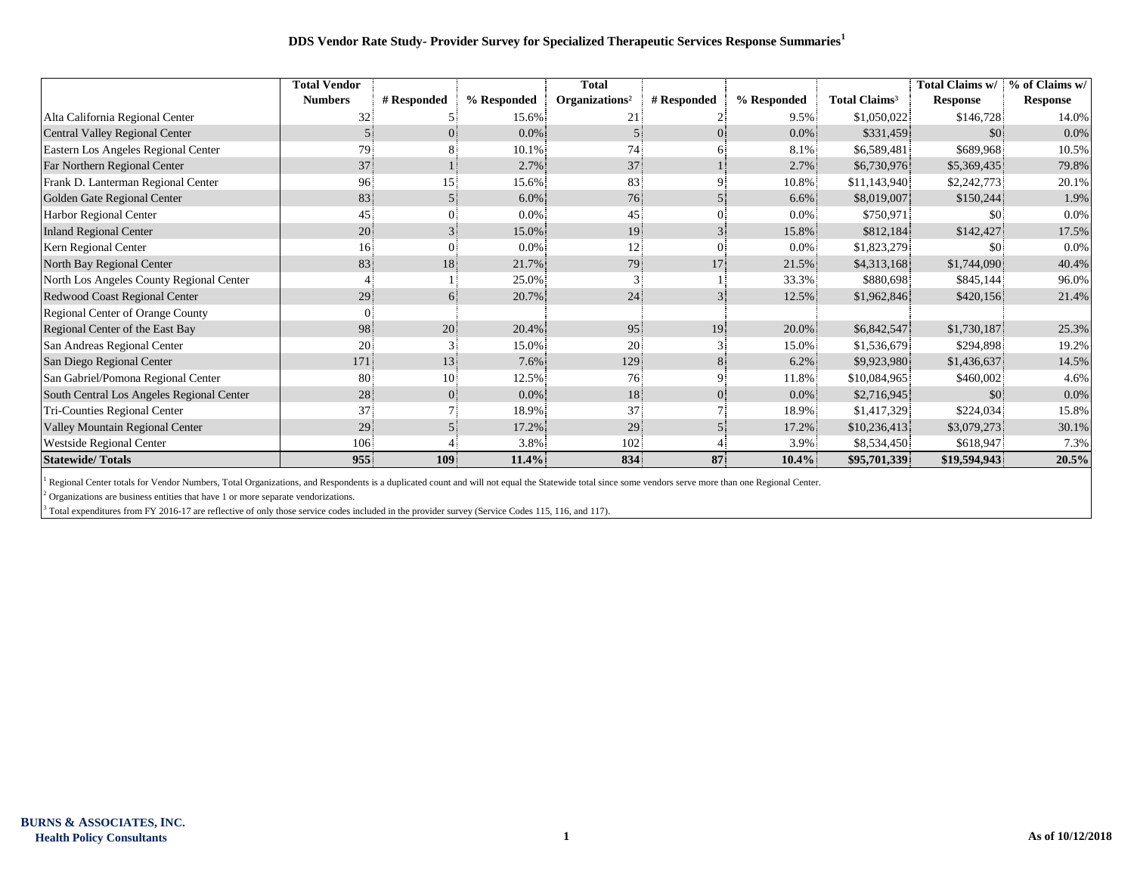## **DDS Vendor Rate Study- Provider Survey for Specialized Therapeutic Services Response Summaries<sup>1</sup>**

|                                           | <b>Total Vendor</b> |                |             | <b>Total</b>               |                |             |                                 | Total Claims w/ | % of Claims w/  |
|-------------------------------------------|---------------------|----------------|-------------|----------------------------|----------------|-------------|---------------------------------|-----------------|-----------------|
|                                           | <b>Numbers</b>      | # Responded    | % Responded | Organizations <sup>2</sup> | # Responded    | % Responded | <b>Total Claims<sup>3</sup></b> | <b>Response</b> | <b>Response</b> |
| Alta California Regional Center           | 32                  |                | 15.6%       | 21                         |                | 9.5%        | \$1,050,022                     | \$146,728       | 14.0%           |
| Central Valley Regional Center            |                     |                | $0.0\%$     |                            |                | $0.0\%$     | \$331,459                       |                 | 0.0%            |
| Eastern Los Angeles Regional Center       | 79.                 |                | 10.1%       | 74                         |                | 8.1%        | \$6,589,481                     | \$689,968       | 10.5%           |
| Far Northern Regional Center              | 37                  |                | 2.7%        | 37                         |                | 2.7%        | \$6,730,976                     | \$5,369,435     | 79.8%           |
| Frank D. Lanterman Regional Center        | 96                  | 15             | 15.6%       | 83                         |                | 10.8%       | \$11,143,940                    | \$2,242,773     | 20.1%           |
| Golden Gate Regional Center               | 83                  |                | 6.0%        | 76                         |                | 6.6%        | \$8,019,007                     | \$150,244       | 1.9%            |
| Harbor Regional Center                    | 45                  |                | $0.0\%$     | 45                         | $\Omega$       | $0.0\%$     | \$750,971                       | -\$0            | 0.0%            |
| <b>Inland Regional Center</b>             | 20 <sup>1</sup>     |                | 15.0%       | 19                         | $3^{\circ}$    | 15.8%       | \$812,184                       | \$142,427       | 17.5%           |
| Kern Regional Center                      | 16                  |                | $0.0\%$     | 12                         | $\overline{0}$ | $0.0\%$     | \$1,823,279                     | \$0.            | 0.0%            |
| North Bay Regional Center                 | 83                  | 18             | 21.7%       | 79                         | 17             | 21.5%       | \$4,313,168                     | \$1,744,090     | 40.4%           |
| North Los Angeles County Regional Center  |                     |                | 25.0%       | 3.                         |                | 33.3%       | \$880,698                       | \$845,144       | 96.0%           |
| Redwood Coast Regional Center             | 29.                 | 6              | 20.7%       | 24                         | 3 <sup>1</sup> | 12.5%       | \$1,962,846                     | \$420,156       | 21.4%           |
| Regional Center of Orange County          |                     |                |             |                            |                |             |                                 |                 |                 |
| Regional Center of the East Bay           | 98                  | 20             | 20.4%       | 95                         | 19             | 20.0%       | \$6,842,547                     | \$1,730,187     | 25.3%           |
| San Andreas Regional Center               | 20                  |                | 15.0%       | 20                         | 3.             | 15.0%       | \$1,536,679                     | \$294,898       | 19.2%           |
| San Diego Regional Center                 | 171                 | 13             | 7.6%        | 129                        | 8              | 6.2%        | \$9,923,980                     | \$1,436,637     | 14.5%           |
| San Gabriel/Pomona Regional Center        | 80                  | 10             | 12.5%       | 76                         |                | 11.8%       | \$10,084,965                    | \$460,002       | 4.6%            |
| South Central Los Angeles Regional Center | 28                  | $\overline{0}$ | $0.0\%$     | 18                         | $\overline{0}$ | $0.0\%$     | \$2,716,945                     | \$0             | 0.0%            |
| Tri-Counties Regional Center              | 37                  |                | 18.9%       | 37                         |                | 18.9%       | \$1,417,329                     | \$224,034       | 15.8%           |
| Valley Mountain Regional Center           | 29                  |                | 17.2%       | 29                         | 5.             | 17.2%       | \$10,236,413                    | \$3,079,273     | 30.1%           |
| Westside Regional Center                  | 106                 |                | 3.8%        | 102.                       |                | 3.9%        | \$8,534,450                     | \$618,947       | 7.3%            |
| <b>Statewide/Totals</b>                   | 955                 | 109            | 11.4%       | 834                        | 87             | $10.4\%$    | \$95,701,339                    | \$19,594,943    | 20.5%           |

<sup>1</sup> Regional Center totals for Vendor Numbers, Total Organizations, and Respondents is a duplicated count and will not equal the Statewide total since some vendors serve more than one Regional Center.

 $2$  Organizations are business entities that have 1 or more separate vendorizations.

 $3$  Total expenditures from FY 2016-17 are reflective of only those service codes included in the provider survey (Service Codes 115, 116, and 117).